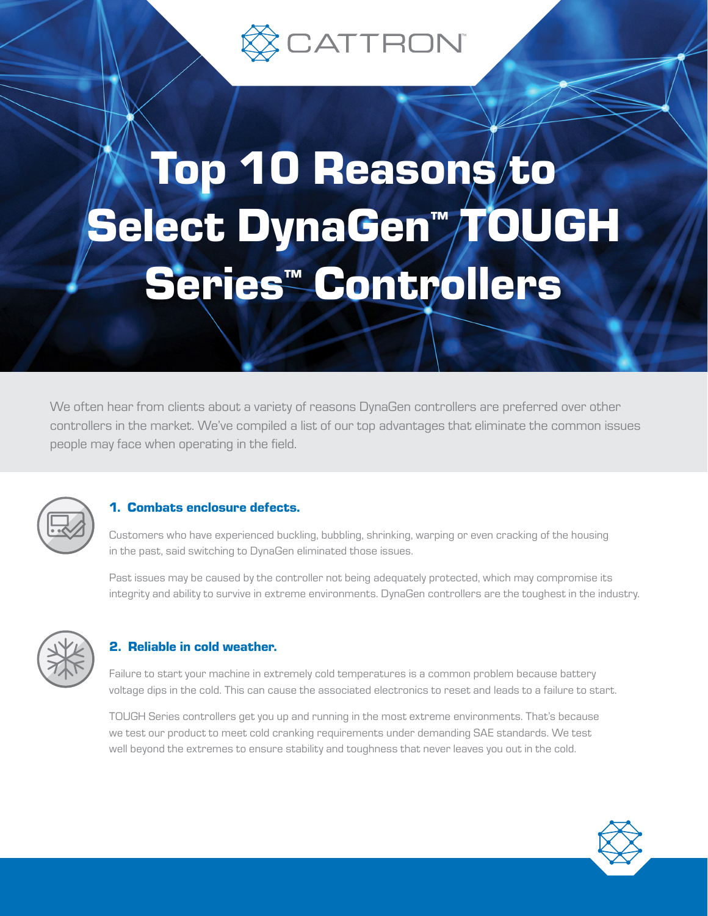

# Top 10 Reasons/to Select DynaGen™ TOUGH Series™ Controllers

We often hear from clients about a variety of reasons DynaGen controllers are preferred over other controllers in the market. We've compiled a list of our top advantages that eliminate the common issues people may face when operating in the field.



# 1. Combats enclosure defects.

Customers who have experienced buckling, bubbling, shrinking, warping or even cracking of the housing in the past, said switching to DynaGen eliminated those issues.

Past issues may be caused by the controller not being adequately protected, which may compromise its integrity and ability to survive in extreme environments. DynaGen controllers are the toughest in the industry.



# 2. Reliable in cold weather.

Failure to start your machine in extremely cold temperatures is a common problem because battery voltage dips in the cold. This can cause the associated electronics to reset and leads to a failure to start.

TOUGH Series controllers get you up and running in the most extreme environments. That's because we test our product to meet cold cranking requirements under demanding SAE standards. We test well beyond the extremes to ensure stability and toughness that never leaves you out in the cold.

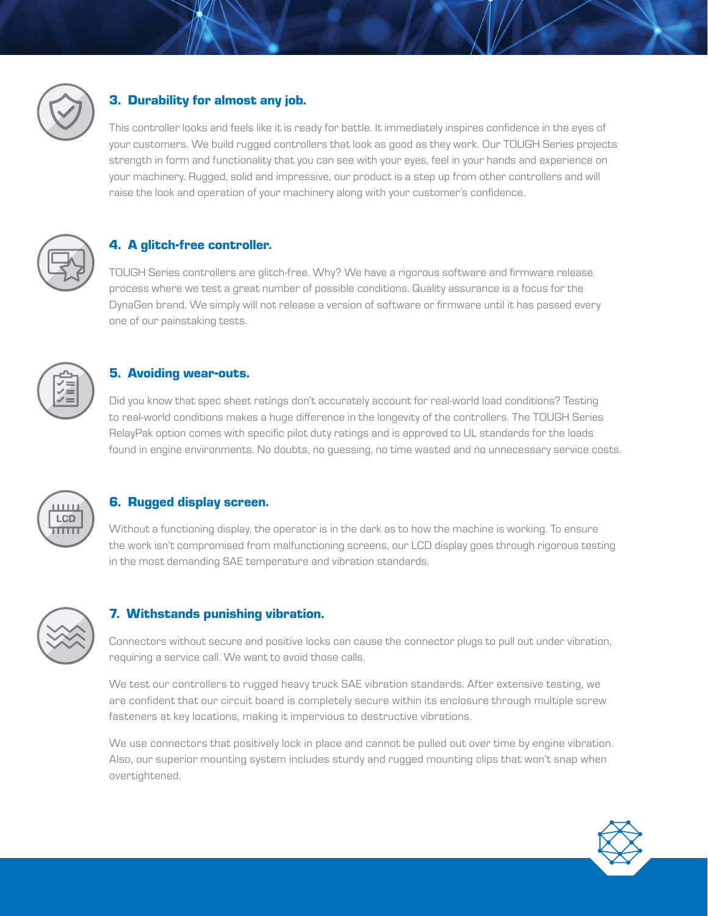

# 3. Durability for almost any job.

This controller looks and feels like it is ready for battle. It immediately inspires confidence in the eyes of your customers. We build rugged controllers that look as good as they work. Our TOUGH Series projects strength in form and functionality that you can see with your eyes, feel in your hands and experience on your machinery. Rugged, solid and impressive, our product is a step up from other controllers and will raise the look and operation of your machinery along with your customer's confidence.



# 4. A glitch-free controller.

TOUGH Series controllers are glitch-free. Why? We have a rigorous software and firmware release process where we test a great number of possible conditions. Quality assurance is a focus for the DynaGen brand. We simply will not release a version of software or firmware until it has passed every one of our painstaking tests.



#### 5. Avoiding wear-outs.

Did you know that spec sheet ratings don't accurately account for real-world load conditions? Testing to real-world conditions makes a huge difference in the longevity of the controllers. The TOUGH Series RelayPak option comes with specific pilot duty ratings and is approved to UL standards for the loads found in engine environments. No doubts, no guessing, no time wasted and no unnecessary service costs.



#### 6. Rugged display screen.

Without a functioning display, the operator is in the dark as to how the machine is working. To ensure the work isn't compromised from malfunctioning screens, our LCD display goes through rigorous testing in the most demanding SAE temperature and vibration standards.



#### 7. Withstands punishing vibration.

Connectors without secure and positive locks can cause the connector plugs to pull out under vibration, requiring a service call. We want to avoid those calls.

We test our controllers to rugged heavy truck SAE vibration standards. After extensive testing, we are confident that our circuit board is completely secure within its enclosure through multiple screw fasteners at key locations, making it impervious to destructive vibrations.

We use connectors that positively lock in place and cannot be pulled out over time by engine vibration. Also, our superior mounting system includes sturdy and rugged mounting clips that won't snap when overtightened.